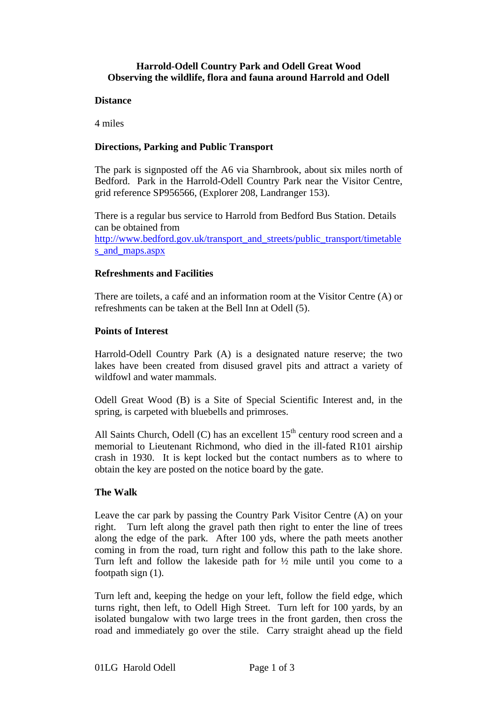#### **Harrold-Odell Country Park and Odell Great Wood Observing the wildlife, flora and fauna around Harrold and Odell**

#### **Distance**

4 miles

# **Directions, Parking and Public Transport**

The park is signposted off the A6 via Sharnbrook, about six miles north of Bedford. Park in the Harrold-Odell Country Park near the Visitor Centre, grid reference SP956566, (Explorer 208, Landranger 153).

There is a regular bus service to Harrold from Bedford Bus Station. Details can be obtained from http://www.bedford.gov.uk/transport\_and\_streets/public\_transport/timetable s and maps.aspx

# **Refreshments and Facilities**

There are toilets, a café and an information room at the Visitor Centre (A) or refreshments can be taken at the Bell Inn at Odell (5).

## **Points of Interest**

Harrold-Odell Country Park (A) is a designated nature reserve; the two lakes have been created from disused gravel pits and attract a variety of wildfowl and water mammals.

Odell Great Wood (B) is a Site of Special Scientific Interest and, in the spring, is carpeted with bluebells and primroses.

All Saints Church, Odell (C) has an excellent  $15<sup>th</sup>$  century rood screen and a memorial to Lieutenant Richmond, who died in the ill-fated R101 airship crash in 1930. It is kept locked but the contact numbers as to where to obtain the key are posted on the notice board by the gate.

# **The Walk**

Leave the car park by passing the Country Park Visitor Centre (A) on your right. Turn left along the gravel path then right to enter the line of trees along the edge of the park. After 100 yds, where the path meets another coming in from the road, turn right and follow this path to the lake shore. Turn left and follow the lakeside path for ½ mile until you come to a footpath sign (1).

Turn left and, keeping the hedge on your left, follow the field edge, which turns right, then left, to Odell High Street. Turn left for 100 yards, by an isolated bungalow with two large trees in the front garden, then cross the road and immediately go over the stile. Carry straight ahead up the field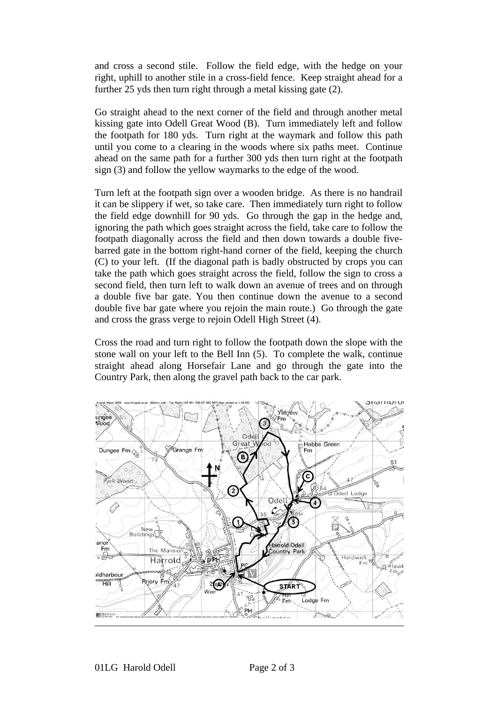and cross a second stile. Follow the field edge, with the hedge on your right, uphill to another stile in a cross-field fence. Keep straight ahead for a further 25 yds then turn right through a metal kissing gate (2).

Go straight ahead to the next corner of the field and through another metal kissing gate into Odell Great Wood (B). Turn immediately left and follow the footpath for 180 yds. Turn right at the waymark and follow this path until you come to a clearing in the woods where six paths meet. Continue ahead on the same path for a further 300 yds then turn right at the footpath sign (3) and follow the yellow waymarks to the edge of the wood.

Turn left at the footpath sign over a wooden bridge. As there is no handrail it can be slippery if wet, so take care. Then immediately turn right to follow the field edge downhill for 90 yds. Go through the gap in the hedge and, ignoring the path which goes straight across the field, take care to follow the footpath diagonally across the field and then down towards a double fivebarred gate in the bottom right-hand corner of the field, keeping the church (C) to your left. (If the diagonal path is badly obstructed by crops you can take the path which goes straight across the field, follow the sign to cross a second field, then turn left to walk down an avenue of trees and on through a double five bar gate. You then continue down the avenue to a second double five bar gate where you rejoin the main route.) Go through the gate and cross the grass verge to rejoin Odell High Street (4).

Cross the road and turn right to follow the footpath down the slope with the stone wall on your left to the Bell Inn (5). To complete the walk, continue straight ahead along Horsefair Lane and go through the gate into the Country Park, then along the gravel path back to the car park.